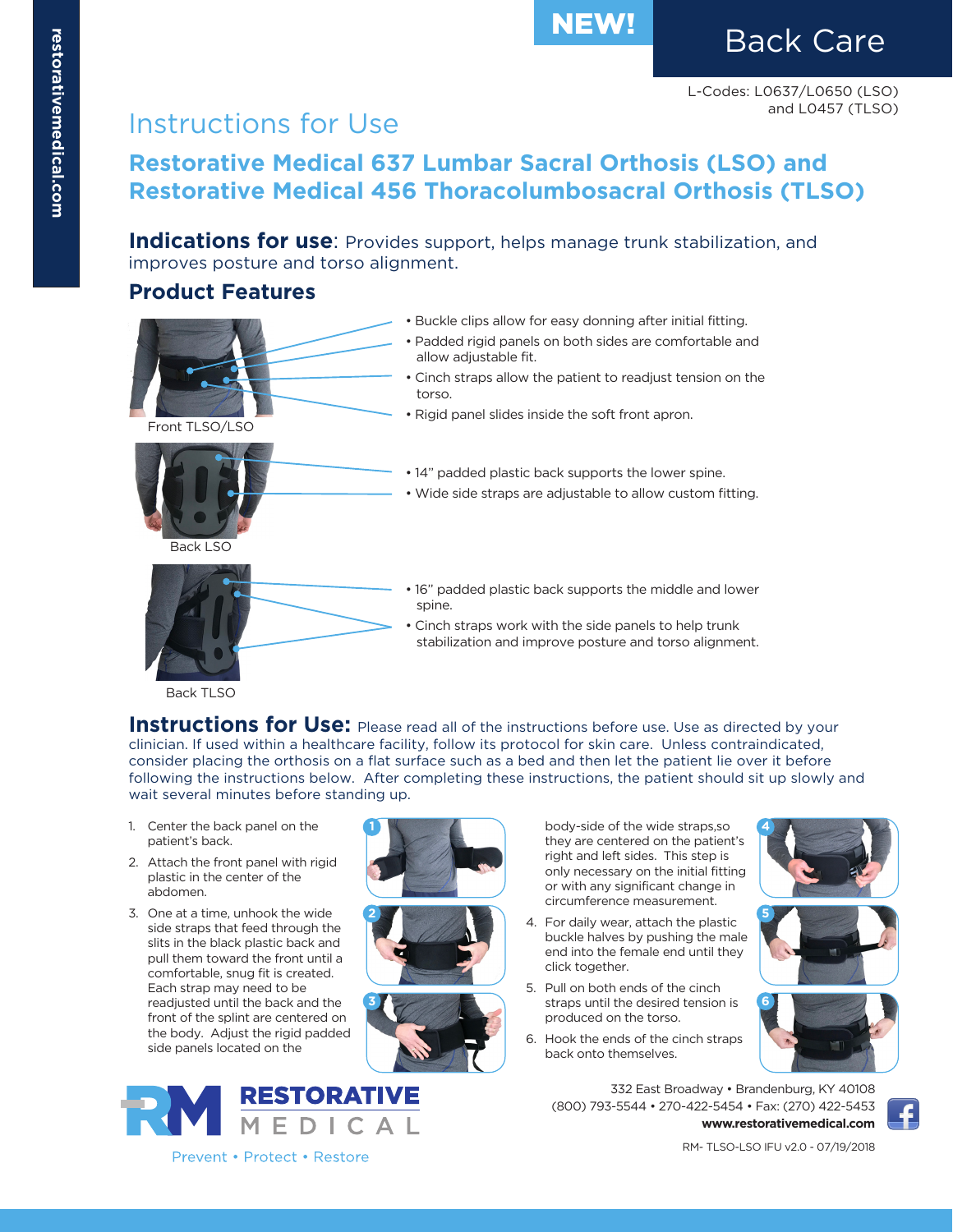# NEW! Back Care

# Instructions for Use

**Restorative Medical 637 Lumbar Sacral Orthosis (LSO) and Restorative Medical 456 Thoracolumbosacral Orthosis (TLSO)**

**Indications for use:** Provides support, helps manage trunk stabilization, and improves posture and torso alignment.

#### **Product Features**



- **Instructions for Use:** Please read all of the instructions before use. Use as directed by your clinician. If used within a healthcare facility, follow its protocol for skin care. Unless contraindicated, consider placing the orthosis on a flat surface such as a bed and then let the patient lie over it before following the instructions below. After completing these instructions, the patient should sit up slowly and wait several minutes before standing up.
- 1. Center the back panel on the patient's back.
- 2. Attach the front panel with rigid plastic in the center of the abdomen.
- 3. One at a time, unhook the wide side straps that feed through the slits in the black plastic back and pull them toward the front until a comfortable, snug fit is created. Each strap may need to be readjusted until the back and the front of the splint are centered on the body. Adjust the rigid padded side panels located on the









Prevent • Protect • Restore

body-side of the wide straps,so they are centered on the patient's right and left sides. This step is only necessary on the initial fitting or with any significant change in circumference measurement.

- 4. For daily wear, attach the plastic buckle halves by pushing the male end into the female end until they click together.
- 5. Pull on both ends of the cinch straps until the desired tension is produced on the torso.
- 6. Hook the ends of the cinch straps back onto themselves.





332 East Broadway • Brandenburg, KY 40108 (800) 793-5544 • 270-422-5454 • Fax: (270) 422-5453 **www.restorativemedical.com**



RM- TLSO-LSO IFU v2.0 - 07/19/2018

**4**